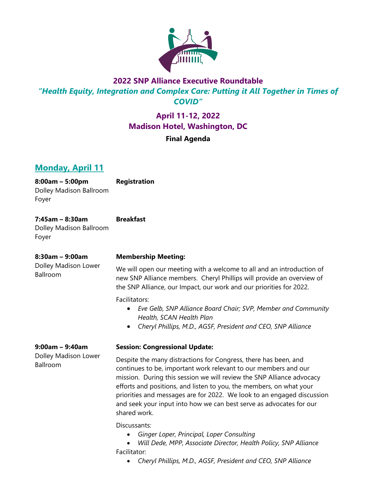

# **2022 SNP Alliance Executive Roundtable** *"Health Equity, Integration and Complex Care: Putting it All Together in Times of COVID"*

# **April 11-12, 2022 Madison Hotel, Washington, DC**

### **Final Agenda**

# **Monday, April 11**

**8:00am – 5:00pm** Dolley Madison Ballroom Foyer

**Registration**

**7:45am – 8:30am** Dolley Madison Ballroom Foyer **Breakfast**

**8:30am – 9:00am** Dolley Madison Lower Ballroom

### **Membership Meeting:**

We will open our meeting with a welcome to all and an introduction of new SNP Alliance members. Cheryl Phillips will provide an overview of the SNP Alliance, our Impact, our work and our priorities for 2022.

Facilitators:

- *Eve Gelb, SNP Alliance Board Chair; SVP, Member and Community Health, SCAN Health Plan*
- *Cheryl Phillips, M.D., AGSF, President and CEO, SNP Alliance*

**9:00am – 9:40am** Dolley Madison Lower Ballroom

### **Session: Congressional Update:**

Despite the many distractions for Congress, there has been, and continues to be, important work relevant to our members and our mission. During this session we will review the SNP Alliance advocacy efforts and positions, and listen to you, the members, on what your priorities and messages are for 2022. We look to an engaged discussion and seek your input into how we can best serve as advocates for our shared work.

Discussants:

• *Ginger Loper, Principal, Loper Consulting*

• *Will Dede, MPP, Associate Director, Health Policy, SNP Alliance* Facilitator:

• *Cheryl Phillips, M.D., AGSF, President and CEO, SNP Alliance*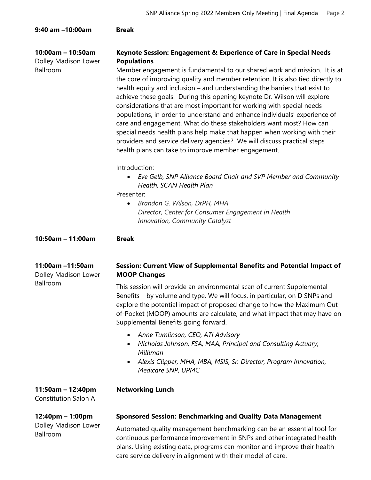| 9:40 am -10:00am                                        | <b>Break</b>                                                                                                                                                                                                                                                                                                                                                                                                                                                                                                                                                                                                                                                                                                                                                                                                                                                                                                                                                                                                                                                                                                          |
|---------------------------------------------------------|-----------------------------------------------------------------------------------------------------------------------------------------------------------------------------------------------------------------------------------------------------------------------------------------------------------------------------------------------------------------------------------------------------------------------------------------------------------------------------------------------------------------------------------------------------------------------------------------------------------------------------------------------------------------------------------------------------------------------------------------------------------------------------------------------------------------------------------------------------------------------------------------------------------------------------------------------------------------------------------------------------------------------------------------------------------------------------------------------------------------------|
| $10:00am - 10:50am$<br>Dolley Madison Lower<br>Ballroom | Keynote Session: Engagement & Experience of Care in Special Needs<br><b>Populations</b><br>Member engagement is fundamental to our shared work and mission. It is at<br>the core of improving quality and member retention. It is also tied directly to<br>health equity and inclusion – and understanding the barriers that exist to<br>achieve these goals. During this opening keynote Dr. Wilson will explore<br>considerations that are most important for working with special needs<br>populations, in order to understand and enhance individuals' experience of<br>care and engagement. What do these stakeholders want most? How can<br>special needs health plans help make that happen when working with their<br>providers and service delivery agencies? We will discuss practical steps<br>health plans can take to improve member engagement.<br>Introduction:<br>• Eve Gelb, SNP Alliance Board Chair and SVP Member and Community<br>Health, SCAN Health Plan<br>Presenter:<br>Brandon G. Wilson, DrPH, MHA<br>Director, Center for Consumer Engagement in Health<br>Innovation, Community Catalyst |
| 10:50am - 11:00am                                       | <b>Break</b>                                                                                                                                                                                                                                                                                                                                                                                                                                                                                                                                                                                                                                                                                                                                                                                                                                                                                                                                                                                                                                                                                                          |
| 11:00am -11:50am<br>Dolley Madison Lower<br>Ballroom    | Session: Current View of Supplemental Benefits and Potential Impact of<br><b>MOOP Changes</b><br>This session will provide an environmental scan of current Supplemental<br>Benefits – by volume and type. We will focus, in particular, on D SNPs and<br>explore the potential impact of proposed change to how the Maximum Out-<br>of-Pocket (MOOP) amounts are calculate, and what impact that may have on<br>Supplemental Benefits going forward.<br>Anne Tumlinson, CEO, ATI Advisory<br>$\bullet$                                                                                                                                                                                                                                                                                                                                                                                                                                                                                                                                                                                                               |
|                                                         | Nicholas Johnson, FSA, MAA, Principal and Consulting Actuary,<br>Milliman<br>Alexis Clipper, MHA, MBA, MSIS, Sr. Director, Program Innovation,<br>$\bullet$<br>Medicare SNP, UPMC                                                                                                                                                                                                                                                                                                                                                                                                                                                                                                                                                                                                                                                                                                                                                                                                                                                                                                                                     |
| 11:50am - 12:40pm<br><b>Constitution Salon A</b>        | <b>Networking Lunch</b>                                                                                                                                                                                                                                                                                                                                                                                                                                                                                                                                                                                                                                                                                                                                                                                                                                                                                                                                                                                                                                                                                               |
| 12:40pm - 1:00pm<br>Dolley Madison Lower<br>Ballroom    | <b>Sponsored Session: Benchmarking and Quality Data Management</b><br>Automated quality management benchmarking can be an essential tool for<br>continuous performance improvement in SNPs and other integrated health<br>plans. Using existing data, programs can monitor and improve their health<br>care service delivery in alignment with their model of care.                                                                                                                                                                                                                                                                                                                                                                                                                                                                                                                                                                                                                                                                                                                                                   |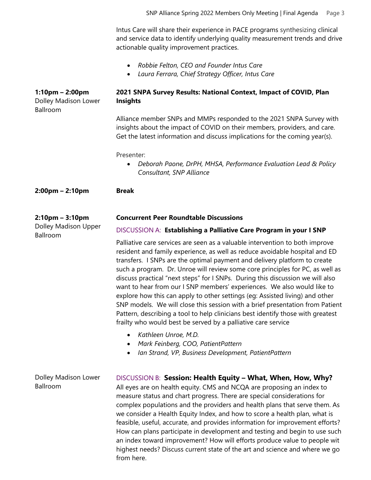Intus Care will share their experience in PACE programs synthesizing clinical and service data to identify underlying quality measurement trends and drive actionable quality improvement practices.

- *Robbie Felton, CEO and Founder Intus Care*
- *Laura Ferrara, Chief Strategy Officer, Intus Care*

| $1:10$ pm – 2:00pm<br>Dolley Madison Lower<br>Ballroom    | 2021 SNPA Survey Results: National Context, Impact of COVID, Plan<br><b>Insights</b>                                                                                                                                                                                                                                                                                                                                                                                                                                                                                                                                                                                                                                                                                                                        |  |
|-----------------------------------------------------------|-------------------------------------------------------------------------------------------------------------------------------------------------------------------------------------------------------------------------------------------------------------------------------------------------------------------------------------------------------------------------------------------------------------------------------------------------------------------------------------------------------------------------------------------------------------------------------------------------------------------------------------------------------------------------------------------------------------------------------------------------------------------------------------------------------------|--|
|                                                           | Alliance member SNPs and MMPs responded to the 2021 SNPA Survey with<br>insights about the impact of COVID on their members, providers, and care.<br>Get the latest information and discuss implications for the coming year(s).                                                                                                                                                                                                                                                                                                                                                                                                                                                                                                                                                                            |  |
|                                                           | Presenter:<br>Deborah Paone, DrPH, MHSA, Performance Evaluation Lead & Policy<br>Consultant, SNP Alliance                                                                                                                                                                                                                                                                                                                                                                                                                                                                                                                                                                                                                                                                                                   |  |
| $2:00 \text{pm} - 2:10 \text{pm}$                         | <b>Break</b>                                                                                                                                                                                                                                                                                                                                                                                                                                                                                                                                                                                                                                                                                                                                                                                                |  |
| $2:10$ pm – $3:10$ pm<br>Dolley Madison Upper<br>Ballroom | <b>Concurrent Peer Roundtable Discussions</b>                                                                                                                                                                                                                                                                                                                                                                                                                                                                                                                                                                                                                                                                                                                                                               |  |
|                                                           | DISCUSSION A: Establishing a Palliative Care Program in your I SNP                                                                                                                                                                                                                                                                                                                                                                                                                                                                                                                                                                                                                                                                                                                                          |  |
|                                                           | Palliative care services are seen as a valuable intervention to both improve<br>resident and family experience, as well as reduce avoidable hospital and ED<br>transfers. I SNPs are the optimal payment and delivery platform to create<br>such a program. Dr. Unroe will review some core principles for PC, as well as<br>discuss practical "next steps" for I SNPs. During this discussion we will also<br>want to hear from our I SNP members' experiences. We also would like to<br>explore how this can apply to other settings (eg: Assisted living) and other<br>SNP models. We will close this session with a brief presentation from Patient<br>Pattern, describing a tool to help clinicians best identify those with greatest<br>frailty who would best be served by a palliative care service |  |
|                                                           | Kathleen Unroe, M.D.<br>$\bullet$<br>Mark Feinberg, COO, PatientPattern<br>$\bullet$<br>Ian Strand, VP, Business Development, PatientPattern                                                                                                                                                                                                                                                                                                                                                                                                                                                                                                                                                                                                                                                                |  |
| Dolley Madison Lower<br>Ballroom                          | DISCUSSION B: Session: Health Equity - What, When, How, Why?<br>All eyes are on health equity. CMS and NCQA are proposing an index to<br>measure status and chart progress. There are special considerations for<br>complex populations and the providers and health plans that serve them. As<br>we consider a Health Equity Index, and how to score a health plan, what is<br>feasible, useful, accurate, and provides information for improvement efforts?<br>How can plans participate in development and testing and begin to use such<br>an index toward improvement? How will efforts produce value to people wit<br>highest needs? Discuss current state of the art and science and where we go<br>from here.                                                                                       |  |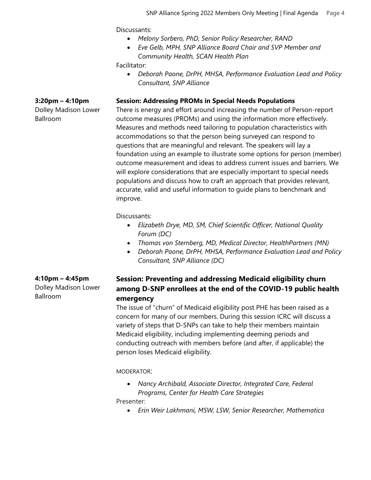Discussants:

- *Melony Sorbero, PhD, Senior Policy Researcher, RAND*
- *Eve Gelb, MPH, SNP Alliance Board Chair and SVP Member and Community Health, SCAN Health Plan*

Facilitator:

• *Deborah Paone, DrPH, MHSA, Performance Evaluation Lead and Policy Consultant, SNP Alliance*

#### **Session: Addressing PROMs in Special Needs Populations**

There is energy and effort around increasing the number of Person-report outcome measures (PROMs) and using the information more effectively. Measures and methods need tailoring to population characteristics with accommodations so that the person being surveyed can respond to questions that are meaningful and relevant. The speakers will lay a foundation using an example to illustrate some options for person (member) outcome measurement and ideas to address current issues and barriers. We will explore considerations that are especially important to special needs populations and discuss how to craft an approach that provides relevant, accurate, valid and useful information to guide plans to benchmark and improve.

Discussants:

- *Elizabeth Drye, MD, SM, Chief Scientific Officer, National Quality Forum (DC)*
- *Thomas von Sternberg, MD, Medical Director, HealthPartners (MN)*
- *Deborah Paone, DrPH, MHSA, Performance Evaluation Lead and Policy Consultant, SNP Alliance (DC)*

## **Session: Preventing and addressing Medicaid eligibility churn among D-SNP enrollees at the end of the COVID-19 public health emergency**

The issue of "churn" of Medicaid eligibility post PHE has been raised as a concern for many of our members. During this session ICRC will discuss a variety of steps that D-SNPs can take to help their members maintain Medicaid eligibility, including implementing deeming periods and conducting outreach with members before (and after, if applicable) the person loses Medicaid eligibility.

MODERATOR:

• *Nancy Archibald, Associate Director, Integrated Care, Federal Programs, Center for Health Care Strategies*

Presenter:

• *Erin Weir Lakhmani, MSW, LSW, Senior Researcher, Mathematica*

**4:10pm – 4:45pm** Dolley Madison Lower Ballroom

#### **3:20pm – 4:10pm**

Dolley Madison Lower Ballroom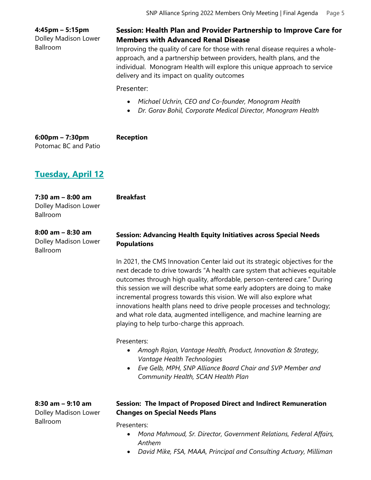|                                                          | SNP Alliance Spring 2022 Members Only Meeting   Final Agenda<br>Page 5                                                                                                                                                                                                                                                                                                                                                                                                                                                                                                                      |
|----------------------------------------------------------|---------------------------------------------------------------------------------------------------------------------------------------------------------------------------------------------------------------------------------------------------------------------------------------------------------------------------------------------------------------------------------------------------------------------------------------------------------------------------------------------------------------------------------------------------------------------------------------------|
| 4:45pm - 5:15pm<br>Dolley Madison Lower<br>Ballroom      | Session: Health Plan and Provider Partnership to Improve Care for<br><b>Members with Advanced Renal Disease</b><br>Improving the quality of care for those with renal disease requires a whole-<br>approach, and a partnership between providers, health plans, and the<br>individual. Monogram Health will explore this unique approach to service<br>delivery and its impact on quality outcomes<br>Presenter:                                                                                                                                                                            |
|                                                          | Michael Uchrin, CEO and Co-founder, Monogram Health<br>Dr. Gorav Bohil, Corporate Medical Director, Monogram Health                                                                                                                                                                                                                                                                                                                                                                                                                                                                         |
| $6:00$ pm – 7:30pm<br>Potomac BC and Patio               | <b>Reception</b>                                                                                                                                                                                                                                                                                                                                                                                                                                                                                                                                                                            |
| <u>Tuesday, April 12</u>                                 |                                                                                                                                                                                                                                                                                                                                                                                                                                                                                                                                                                                             |
| 7:30 am - 8:00 am<br>Dolley Madison Lower<br>Ballroom    | <b>Breakfast</b>                                                                                                                                                                                                                                                                                                                                                                                                                                                                                                                                                                            |
| $8:00$ am $-8:30$ am<br>Dolley Madison Lower<br>Ballroom | <b>Session: Advancing Health Equity Initiatives across Special Needs</b><br><b>Populations</b>                                                                                                                                                                                                                                                                                                                                                                                                                                                                                              |
|                                                          | In 2021, the CMS Innovation Center laid out its strategic objectives for the<br>next decade to drive towards "A health care system that achieves equitable<br>outcomes through high quality, affordable, person-centered care." During<br>this session we will describe what some early adopters are doing to make<br>incremental progress towards this vision. We will also explore what<br>innovations health plans need to drive people processes and technology;<br>and what role data, augmented intelligence, and machine learning are<br>playing to help turbo-charge this approach. |
|                                                          | Presenters:<br>Amogh Rajan, Vantage Health, Product, Innovation & Strategy,<br>٠<br>Vantage Health Technologies<br>Eve Gelb, MPH, SNP Alliance Board Chair and SVP Member and<br>$\bullet$<br>Community Health, SCAN Health Plan                                                                                                                                                                                                                                                                                                                                                            |
| 8:30 am - 9:10 am<br>Dolley Madison Lower<br>Ballroom    | Session: The Impact of Proposed Direct and Indirect Remuneration<br><b>Changes on Special Needs Plans</b><br>Presenters:                                                                                                                                                                                                                                                                                                                                                                                                                                                                    |

- *Mona Mahmoud, Sr. Director, Government Relations, Federal Affairs, Anthem*
- *David Mike, FSA, MAAA, Principal and Consulting Actuary, Milliman*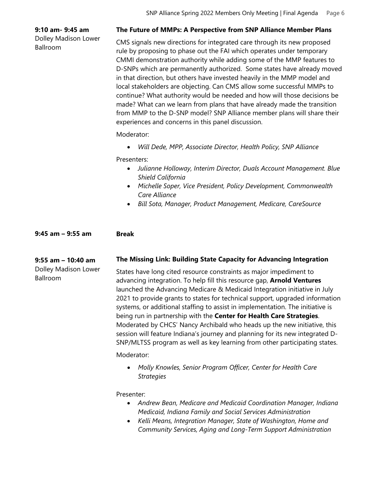#### **9:10 am- 9:45 am**

Dolley Madison Lower Ballroom

#### **The Future of MMPs: A Perspective from SNP Alliance Member Plans**

CMS signals new directions for integrated care through its new proposed rule by proposing to phase out the FAI which operates under temporary CMMI demonstration authority while adding some of the MMP features to D-SNPs which are permanently authorized. Some states have already moved in that direction, but others have invested heavily in the MMP model and local stakeholders are objecting. Can CMS allow some successful MMPs to continue? What authority would be needed and how will those decisions be made? What can we learn from plans that have already made the transition from MMP to the D-SNP model? SNP Alliance member plans will share their experiences and concerns in this panel discussion.

Moderator:

• *Will Dede, MPP, Associate Director, Health Policy, SNP Alliance*

Presenters:

- *Julianne Holloway, Interim Director, Duals Account Management. Blue Shield California*
- *Michelle Soper, Vice President, Policy Development, Commonwealth Care Alliance*
- *Bill Sota, Manager, Product Management, Medicare, CareSource*

#### **9:45 am – 9:55 am Break**

### **9:55 am – 10:40 am**

Dolley Madison Lower Ballroom

#### **The Missing Link: Building State Capacity for Advancing Integration**

States have long cited resource constraints as major impediment to advancing integration. To help fill this resource gap, **Arnold Ventures** launched the Advancing Medicare & Medicaid Integration initiative in July 2021 to provide grants to states for technical support, upgraded information systems, or additional staffing to assist in implementation. The initiative is being run in partnership with the **Center for Health Care Strategies**. Moderated by CHCS' Nancy Archibald who heads up the new initiative, this session will feature Indiana's journey and planning for its new integrated D-SNP/MLTSS program as well as key learning from other participating states.

Moderator:

• *Molly Knowles, Senior Program Officer, Center for Health Care Strategies* 

Presenter:

- *Andrew Bean, Medicare and Medicaid Coordination Manager, Indiana Medicaid, Indiana Family and Social Services Administration*
- *Kelli Means, Integration Manager, State of Washington, Home and Community Services, Aging and Long-Term Support Administration*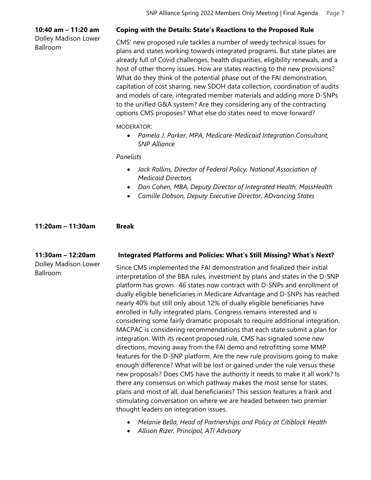#### **10:40 am – 11:20 am**

Dolley Madison Lower Ballroom

#### **Coping with the Details: State's Reactions to the Proposed Rule**

CMS' new proposed rule tackles a number of weedy technical issues for plans and states working towards integrated programs. But state plates are already full of Covid challenges, health disparities, eligibility renewals, and a host of other thorny issues. How are states reacting to the new provisions? What do they think of the potential phase out of the FAI demonstration, capitation of cost sharing, new SDOH data collection, coordination of audits and models of care, integrated member materials and adding more D-SNPs to the unified G&A system? Are they considering any of the contracting options CMS proposes? What else do states need to move forward?

#### MODERATOR:

• *Pamela J. Parker, MPA, Medicare-Medicaid Integration Consultant, SNP Alliance*

#### *Panelists*

- *Jack Rollins, Director of Federal Policy, National Association of Medicaid Directors*
- *Dan Cohen, MBA, Deputy Director of Integrated Health, MassHealth*
- *Camille Dobson, Deputy Executive Director, ADvancing States*

### **11:20am – 11:30am Break**

#### **11:30am – 12:20am** Dolley Madison Lower

Ballroom

#### **Integrated Platforms and Policies: What's Still Missing? What's Next?**

Since CMS implemented the FAI demonstration and finalized their initial interpretation of the BBA rules, investment by plans and states in the D-SNP platform has grown. 46 states now contract with D-SNPs and enrollment of dually eligible beneficiaries in Medicare Advantage and D-SNPs has reached nearly 40% but still only about 12% of dually eligible beneficiaries have enrolled in fully integrated plans. Congress remains interested and is considering some fairly dramatic proposals to require additional integration. MACPAC is considering recommendations that each state submit a plan for integration. With its recent proposed rule, CMS has signaled some new directions, moving away from the FAI demo and retrofitting some MMP features for the D-SNP platform. Are the new rule provisions going to make enough difference? What will be lost or gained under the rule versus these new proposals? Does CMS have the authority it needs to make it all work? Is there any consensus on which pathway makes the most sense for states, plans and most of all, dual beneficiaries? This session features a frank and stimulating conversation on where we are headed between two premier thought leaders on integration issues.

- *Melanie Bella, Head of Partnerships and Policy at Citiblock Health*
- *Allison Rizer, Principal, ATI Advisory*